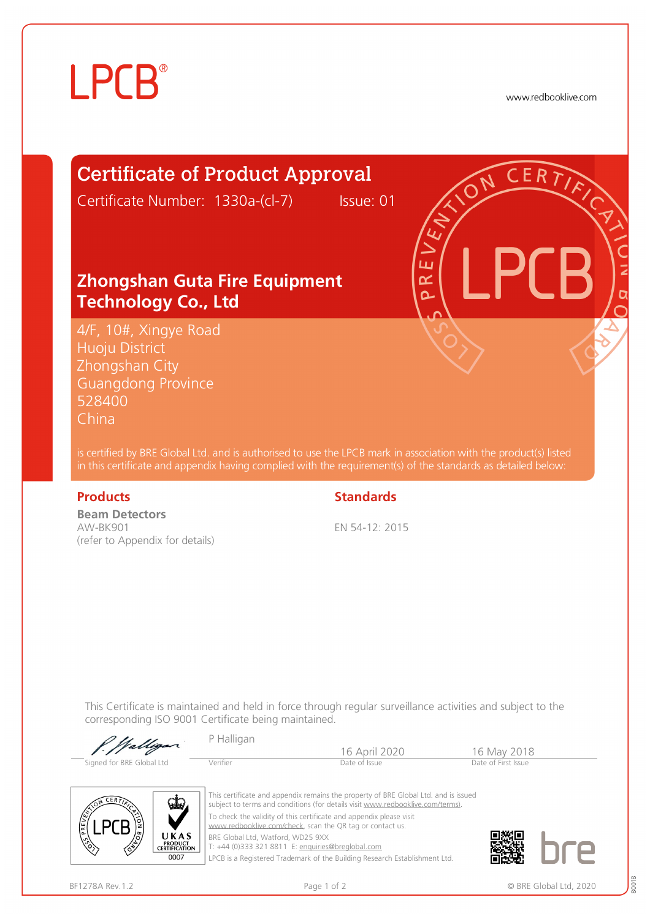# **LPCB**

www.redbooklive.com

# Certificate of Product Approval

Certificate Number: 1330a-(cl-7) Issue: 01

ய œ  $\overline{\Omega}$ 

### **Zhongshan Guta Fire Equipment Technology Co., Ltd**

4/F, 10#, Xingye Road Huoju District Zhongshan City Guangdong Province 528400 China

is certified by BRE Global Ltd. and is authorised to use the LPCB mark in association with the product(s) listed in this certificate and appendix having complied with the requirement(s) of the standards as detailed below:

**Beam Detectors**  AW-BK901 (refer to Appendix for details)

### **Products** Standards

EN 54-12: 2015

16 April 2020 16 May 2018<br>Date of Issue Date of First Issue

This Certificate is maintained and held in force through regular surveillance activities and subject to the corresponding ISO 9001 Certificate being maintained.

Signed for BRE Global Ltd Verifier

P Halligan

 $0007$ 

This certificate and appendix remains the property of BRE Global Ltd. and is issued subject to terms and conditions (for details visit [www.redbooklive.com/terms\)](http://www.redbooklive.com/terms)). To check the validity of this certificate and appendix please visit [www.redbooklive.com/check,](http://www.redbooklive.com/check) scan the QR tag or contact us. BRE Global Ltd, Watford, WD25 9XX

T: +44 (0)333 321 8811 E: [enquiries@breglobal.com](mailto:enquiries@breglobal.com)

LPCB is a Registered Trademark of the Building Research Establishment Ltd.